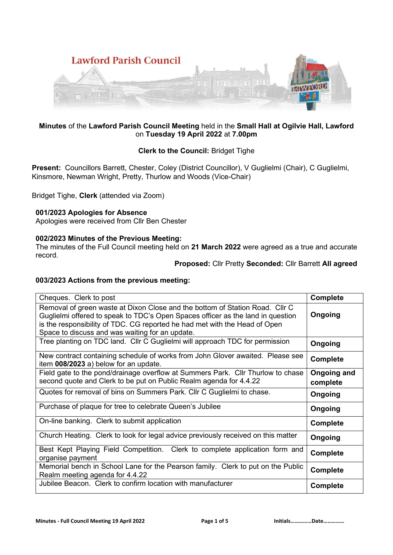

## **Minutes** of the **Lawford Parish Council Meeting** held in the **Small Hall at Ogilvie Hall, Lawford**  on **Tuesday 19 April 2022** at **7.00pm**

# **Clerk to the Council:** Bridget Tighe

**Present:** Councillors Barrett, Chester, Coley (District Councillor), V Guglielmi (Chair), C Guglielmi, Kinsmore, Newman Wright, Pretty, Thurlow and Woods (Vice-Chair)

Bridget Tighe, **Clerk** (attended via Zoom)

## **001/2023 Apologies for Absence**

Apologies were received from Cllr Ben Chester

## **002/2023 Minutes of the Previous Meeting:**

The minutes of the Full Council meeting held on **21 March 2022** were agreed as a true and accurate record.

## **Proposed:** Cllr Pretty **Seconded:** Cllr Barrett **All agreed**

#### **003/2023 Actions from the previous meeting:**

| Cheques. Clerk to post                                                                                                                                                                                                                                                                           | <b>Complete</b>         |
|--------------------------------------------------------------------------------------------------------------------------------------------------------------------------------------------------------------------------------------------------------------------------------------------------|-------------------------|
| Removal of green waste at Dixon Close and the bottom of Station Road. Cllr C<br>Guglielmi offered to speak to TDC's Open Spaces officer as the land in question<br>is the responsibility of TDC. CG reported he had met with the Head of Open<br>Space to discuss and was waiting for an update. | Ongoing                 |
| Tree planting on TDC land. Cllr C Guglielmi will approach TDC for permission                                                                                                                                                                                                                     | Ongoing                 |
| New contract containing schedule of works from John Glover awaited. Please see<br>item 008/2023 a) below for an update.                                                                                                                                                                          | <b>Complete</b>         |
| Field gate to the pond/drainage overflow at Summers Park. Cllr Thurlow to chase<br>second quote and Clerk to be put on Public Realm agenda for 4.4.22                                                                                                                                            | Ongoing and<br>complete |
| Quotes for removal of bins on Summers Park. Cllr C Guglielmi to chase.                                                                                                                                                                                                                           | Ongoing                 |
| Purchase of plaque for tree to celebrate Queen's Jubilee                                                                                                                                                                                                                                         | Ongoing                 |
| On-line banking. Clerk to submit application                                                                                                                                                                                                                                                     | <b>Complete</b>         |
| Church Heating. Clerk to look for legal advice previously received on this matter                                                                                                                                                                                                                | Ongoing                 |
| Best Kept Playing Field Competition. Clerk to complete application form and<br>organise payment                                                                                                                                                                                                  | <b>Complete</b>         |
| Memorial bench in School Lane for the Pearson family. Clerk to put on the Public<br>Realm meeting agenda for 4.4.22                                                                                                                                                                              | <b>Complete</b>         |
| Jubilee Beacon. Clerk to confirm location with manufacturer                                                                                                                                                                                                                                      | <b>Complete</b>         |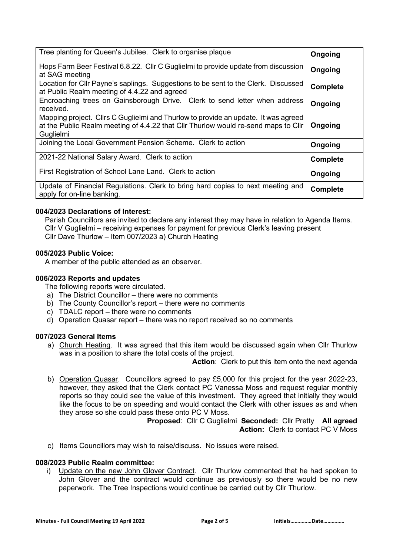| Tree planting for Queen's Jubilee. Clerk to organise plaque                                                                                                                           | Ongoing         |
|---------------------------------------------------------------------------------------------------------------------------------------------------------------------------------------|-----------------|
| Hops Farm Beer Festival 6.8.22. Cllr C Guglielmi to provide update from discussion<br>at SAG meeting                                                                                  | Ongoing         |
| Location for Cllr Payne's saplings. Suggestions to be sent to the Clerk. Discussed<br>at Public Realm meeting of 4.4.22 and agreed                                                    | Complete        |
| Encroaching trees on Gainsborough Drive. Clerk to send letter when address<br>received.                                                                                               | Ongoing         |
| Mapping project. Cllrs C Guglielmi and Thurlow to provide an update. It was agreed<br>at the Public Realm meeting of 4.4.22 that Cllr Thurlow would re-send maps to Cllr<br>Guglielmi | Ongoing         |
| Joining the Local Government Pension Scheme. Clerk to action                                                                                                                          | Ongoing         |
| 2021-22 National Salary Award. Clerk to action                                                                                                                                        | <b>Complete</b> |
| First Registration of School Lane Land. Clerk to action                                                                                                                               | Ongoing         |
| Update of Financial Regulations. Clerk to bring hard copies to next meeting and<br>apply for on-line banking.                                                                         | Complete        |

## **004/2023 Declarations of Interest:**

Parish Councillors are invited to declare any interest they may have in relation to Agenda Items. Cllr V Guglielmi – receiving expenses for payment for previous Clerk's leaving present Cllr Dave Thurlow – Item 007/2023 a) Church Heating

#### **005/2023 Public Voice:**

A member of the public attended as an observer.

#### **006/2023 Reports and updates**

- The following reports were circulated.
- a) The District Councillor there were no comments
- b) The County Councillor's report there were no comments
- c) TDALC report there were no comments
- d) Operation Quasar report there was no report received so no comments

#### **007/2023 General Items**

a) Church Heating. It was agreed that this item would be discussed again when Cllr Thurlow was in a position to share the total costs of the project.

**Action:** Clerk to put this item onto the next agenda

b) Operation Quasar. Councillors agreed to pay £5,000 for this project for the year 2022-23, however, they asked that the Clerk contact PC Vanessa Moss and request regular monthly reports so they could see the value of this investment. They agreed that initially they would like the focus to be on speeding and would contact the Clerk with other issues as and when they arose so she could pass these onto PC V Moss.

**Proposed**: Cllr C Guglielmi **Seconded:** Cllr Pretty **All agreed**  Action: Clerk to contact PC V Moss

c) Items Councillors may wish to raise/discuss. No issues were raised.

#### **008/2023 Public Realm committee:**

i) Update on the new John Glover Contract. Cllr Thurlow commented that he had spoken to John Glover and the contract would continue as previously so there would be no new paperwork. The Tree Inspections would continue be carried out by Cllr Thurlow.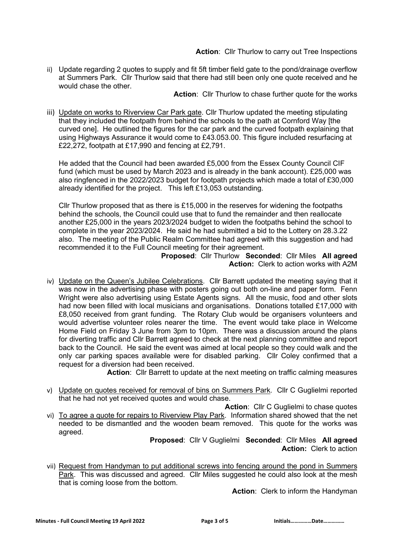**Action**: Cllr Thurlow to carry out Tree Inspections

ii) Update regarding 2 quotes to supply and fit 5ft timber field gate to the pond/drainage overflow at Summers Park. Cllr Thurlow said that there had still been only one quote received and he would chase the other.

**Action**: Cllr Thurlow to chase further quote for the works

iii) Update on works to Riverview Car Park gate. Cllr Thurlow updated the meeting stipulating that they included the footpath from behind the schools to the path at Cornford Way [the curved one]. He outlined the figures for the car park and the curved footpath explaining that using Highways Assurance it would come to £43.053.00. This figure included resurfacing at £22,272, footpath at £17,990 and fencing at £2,791.

He added that the Council had been awarded £5,000 from the Essex County Council CIF fund (which must be used by March 2023 and is already in the bank account). £25,000 was also ringfenced in the 2022/2023 budget for footpath projects which made a total of £30,000 already identified for the project. This left £13,053 outstanding.

Cllr Thurlow proposed that as there is £15,000 in the reserves for widening the footpaths behind the schools, the Council could use that to fund the remainder and then reallocate another £25,000 in the years 2023/2024 budget to widen the footpaths behind the school to complete in the year 2023/2024. He said he had submitted a bid to the Lottery on 28.3.22 also. The meeting of the Public Realm Committee had agreed with this suggestion and had recommended it to the Full Council meeting for their agreement.

**Proposed**: Cllr Thurlow **Seconded**: Cllr Miles **All agreed Action:** Clerk to action works with A2M

iv) Update on the Queen's Jubilee Celebrations. Cllr Barrett updated the meeting saying that it was now in the advertising phase with posters going out both on-line and paper form. Fenn Wright were also advertising using Estate Agents signs. All the music, food and other slots had now been filled with local musicians and organisations. Donations totalled £17,000 with £8,050 received from grant funding. The Rotary Club would be organisers volunteers and would advertise volunteer roles nearer the time. The event would take place in Welcome Home Field on Friday 3 June from 3pm to 10pm. There was a discussion around the plans for diverting traffic and Cllr Barrett agreed to check at the next planning committee and report back to the Council. He said the event was aimed at local people so they could walk and the only car parking spaces available were for disabled parking. Cllr Coley confirmed that a request for a diversion had been received.

**Action**: Cllr Barrett to update at the next meeting on traffic calming measures

- v) Update on quotes received for removal of bins on Summers Park. Cllr C Guglielmi reported that he had not yet received quotes and would chase.
- **Action:** Cllr C Guglielmi to chase quotes vi) To agree a quote for repairs to Riverview Play Park. Information shared showed that the net needed to be dismantled and the wooden beam removed. This quote for the works was agreed.

**Proposed**: Cllr V Guglielmi **Seconded**: Cllr Miles **All agreed Action:** Clerk to action

vii) Request from Handyman to put additional screws into fencing around the pond in Summers Park. This was discussed and agreed. Cllr Miles suggested he could also look at the mesh that is coming loose from the bottom.

**Action**: Clerk to inform the Handyman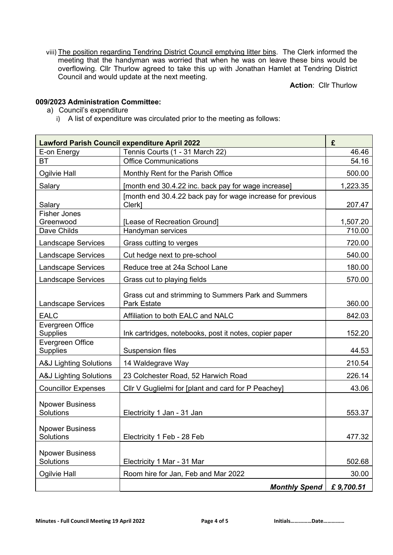viii) The position regarding Tendring District Council emptying litter bins. The Clerk informed the meeting that the handyman was worried that when he was on leave these bins would be overflowing. Cllr Thurlow agreed to take this up with Jonathan Hamlet at Tendring District Council and would update at the next meeting.

**Action**: Cllr Thurlow

# **009/2023 Administration Committee:**

- a) Council's expenditure
	- i) A list of expenditure was circulated prior to the meeting as follows:

|                                     | <b>Lawford Parish Council expenditure April 2022</b>                      | £         |
|-------------------------------------|---------------------------------------------------------------------------|-----------|
| E-on Energy                         | Tennis Courts (1 - 31 March 22)                                           | 46.46     |
| <b>BT</b>                           | <b>Office Communications</b>                                              | 54.16     |
| Ogilvie Hall                        | Monthly Rent for the Parish Office                                        | 500.00    |
| Salary                              | [month end 30.4.22 inc. back pay for wage increase]                       | 1,223.35  |
| Salary                              | [month end 30.4.22 back pay for wage increase for previous<br>Clerk]      | 207.47    |
| <b>Fisher Jones</b>                 |                                                                           |           |
| Greenwood                           | [Lease of Recreation Ground]                                              | 1,507.20  |
| Dave Childs                         | Handyman services                                                         | 710.00    |
| <b>Landscape Services</b>           | Grass cutting to verges                                                   | 720.00    |
| <b>Landscape Services</b>           | Cut hedge next to pre-school                                              | 540.00    |
| <b>Landscape Services</b>           | Reduce tree at 24a School Lane                                            | 180.00    |
| <b>Landscape Services</b>           | Grass cut to playing fields                                               | 570.00    |
| <b>Landscape Services</b>           | Grass cut and strimming to Summers Park and Summers<br><b>Park Estate</b> | 360.00    |
| <b>EALC</b>                         | Affiliation to both EALC and NALC                                         | 842.03    |
| Evergreen Office<br><b>Supplies</b> | Ink cartridges, notebooks, post it notes, copier paper                    | 152.20    |
| Evergreen Office<br><b>Supplies</b> | <b>Suspension files</b>                                                   | 44.53     |
| <b>A&amp;J Lighting Solutions</b>   | 14 Waldegrave Way                                                         | 210.54    |
| <b>A&amp;J Lighting Solutions</b>   | 23 Colchester Road, 52 Harwich Road                                       | 226.14    |
| <b>Councillor Expenses</b>          | Cllr V Guglielmi for [plant and card for P Peachey]                       | 43.06     |
| <b>Npower Business</b><br>Solutions | Electricity 1 Jan - 31 Jan                                                | 553.37    |
| <b>Npower Business</b><br>Solutions | Electricity 1 Feb - 28 Feb                                                | 477.32    |
| <b>Npower Business</b><br>Solutions | Electricity 1 Mar - 31 Mar                                                | 502.68    |
| Ogilvie Hall                        | Room hire for Jan, Feb and Mar 2022                                       | 30.00     |
|                                     | <b>Monthly Spend</b>                                                      | £9,700.51 |